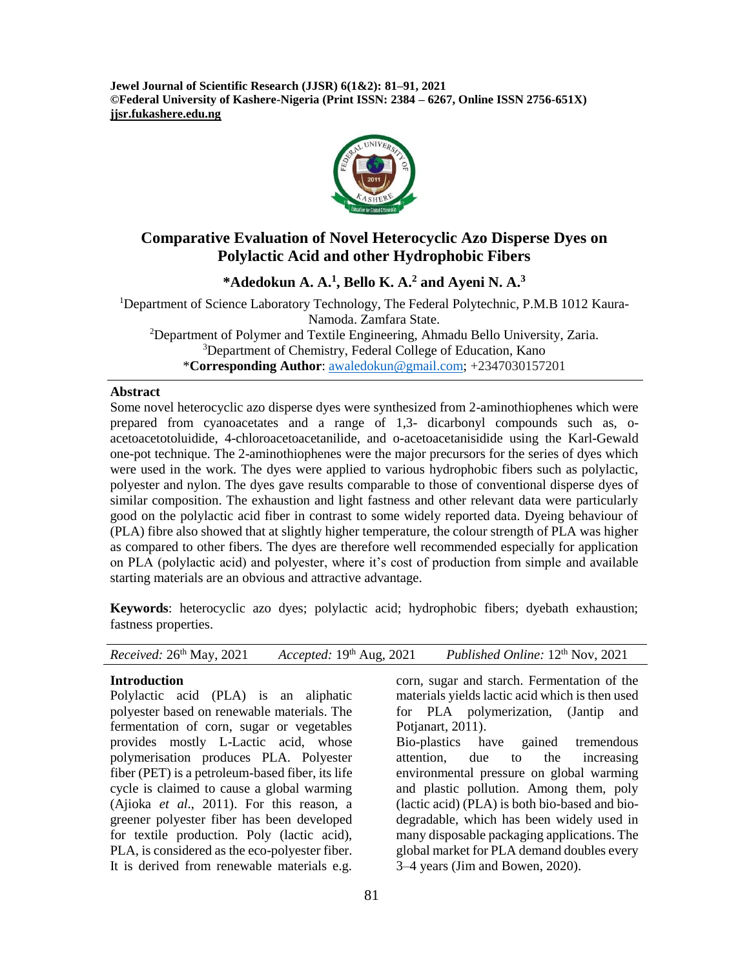**Jewel Journal of Scientific Research (JJSR) 6(1&2): 81–91, 2021 ©Federal University of Kashere-Nigeria (Print ISSN: 2384 – 6267, Online ISSN 2756-651X) jjsr.fukashere.edu.ng**



# **Comparative Evaluation of Novel Heterocyclic Azo Disperse Dyes on Polylactic Acid and other Hydrophobic Fibers**

**\*Adedokun A. A. 1 , Bello K. A. <sup>2</sup> and Ayeni N. A. 3**

Department of Science Laboratory Technology, The Federal Polytechnic, P.M.B 1012 Kaura-Namoda. Zamfara State. Department of Polymer and Textile Engineering, Ahmadu Bello University, Zaria. Department of Chemistry, Federal College of Education, Kano

\***Corresponding Author**: [awaledokun@gmail.com;](mailto:awaledokun@gmail.com) +2347030157201

#### **Abstract**

Some novel heterocyclic azo disperse dyes were synthesized from 2-aminothiophenes which were prepared from cyanoacetates and a range of 1,3- dicarbonyl compounds such as, oacetoacetotoluidide, 4-chloroacetoacetanilide, and o-acetoacetanisidide using the Karl-Gewald one-pot technique. The 2-aminothiophenes were the major precursors for the series of dyes which were used in the work. The dyes were applied to various hydrophobic fibers such as polylactic, polyester and nylon. The dyes gave results comparable to those of conventional disperse dyes of similar composition. The exhaustion and light fastness and other relevant data were particularly good on the polylactic acid fiber in contrast to some widely reported data. Dyeing behaviour of (PLA) fibre also showed that at slightly higher temperature, the colour strength of PLA was higher as compared to other fibers. The dyes are therefore well recommended especially for application on PLA (polylactic acid) and polyester, where it's cost of production from simple and available starting materials are an obvious and attractive advantage.

**Keywords**: heterocyclic azo dyes; polylactic acid; hydrophobic fibers; dyebath exhaustion; fastness properties.

#### **Introduction**

Polylactic acid (PLA) is an aliphatic polyester based on renewable materials. The fermentation of corn, sugar or vegetables provides mostly L-Lactic acid, whose polymerisation produces PLA. Polyester fiber (PET) is a petroleum-based fiber, its life cycle is claimed to cause a global warming (Ajioka *et al*., 2011). For this reason, a greener polyester fiber has been developed for textile production. Poly (lactic acid), PLA, is considered as the eco-polyester fiber. It is derived from renewable materials e.g.

corn, sugar and starch. Fermentation of the materials yields lactic acid which is then used for PLA polymerization, (Jantip and Potjanart, 2011). Bio-plastics have gained tremendous attention, due to the increasing

environmental pressure on global warming and plastic pollution. Among them, poly (lactic acid) (PLA) is both bio-based and biodegradable, which has been widely used in many disposable packaging applications. The global market for PLA demand doubles every 3–4 years (Jim and Bowen, 2020).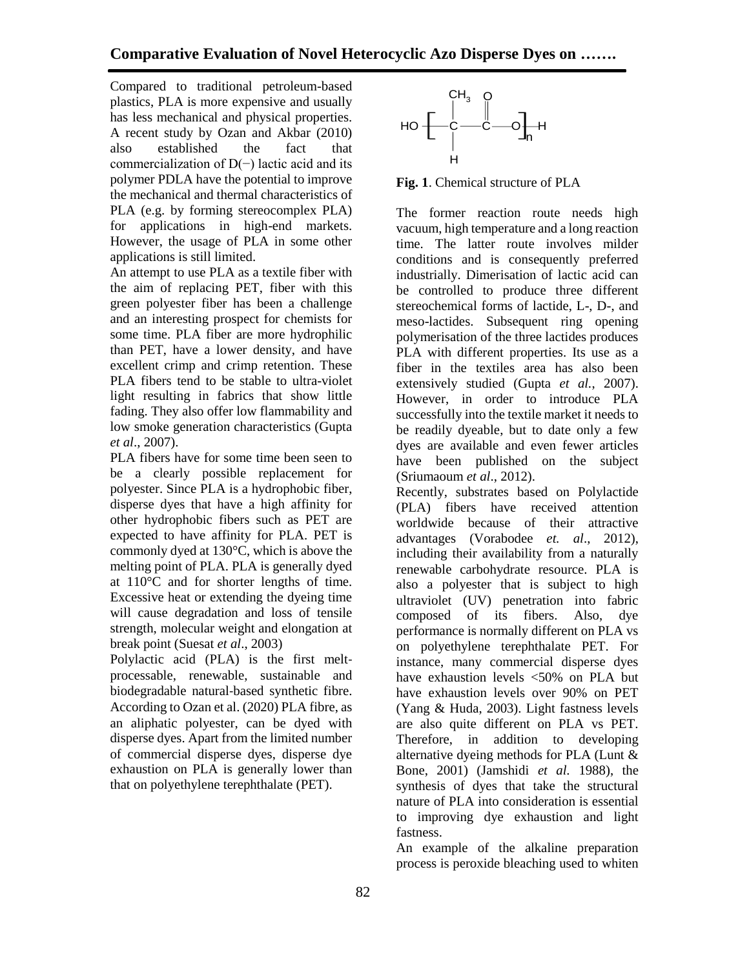Compared to traditional petroleum-based plastics, PLA is more expensive and usually has less mechanical and physical properties. A recent study by Ozan and Akbar (2010) also established the fact that commercialization of D(−) lactic acid and its polymer PDLA have the potential to improve the mechanical and thermal characteristics of PLA (e.g. by forming stereocomplex PLA) for applications in high-end markets. However, the usage of PLA in some other applications is still limited.

An attempt to use PLA as a textile fiber with the aim of replacing PET, fiber with this green polyester fiber has been a challenge and an interesting prospect for chemists for some time. PLA fiber are more hydrophilic than PET, have a lower density, and have excellent crimp and crimp retention. These PLA fibers tend to be stable to ultra-violet light resulting in fabrics that show little fading. They also offer low flammability and low smoke generation characteristics (Gupta *et al*., 2007).

PLA fibers have for some time been seen to be a clearly possible replacement for polyester. Since PLA is a hydrophobic fiber, disperse dyes that have a high affinity for other hydrophobic fibers such as PET are expected to have affinity for PLA. PET is commonly dyed at 130°C, which is above the melting point of PLA. PLA is generally dyed at 110°C and for shorter lengths of time. Excessive heat or extending the dyeing time will cause degradation and loss of tensile strength, molecular weight and elongation at break point (Suesat *et al*., 2003)

Polylactic acid (PLA) is the first melt‐ processable, renewable, sustainable and biodegradable natural‐based synthetic fibre. According to Ozan et al. (2020) PLA fibre, as an aliphatic polyester, can be dyed with disperse dyes. Apart from the limited number of commercial disperse dyes, disperse dye exhaustion on PLA is generally lower than that on polyethylene terephthalate (PET).



**Fig. 1**. Chemical structure of PLA

The former reaction route needs high vacuum, high temperature and a long reaction time. The latter route involves milder conditions and is consequently preferred industrially. Dimerisation of lactic acid can be controlled to produce three different stereochemical forms of lactide, L-, D-, and meso-lactides. Subsequent ring opening polymerisation of the three lactides produces PLA with different properties. Its use as a fiber in the textiles area has also been extensively studied (Gupta *et al.*, 2007). However, in order to introduce PLA successfully into the textile market it needs to be readily dyeable, but to date only a few dyes are available and even fewer articles have been published on the subject (Sriumaoum *et al*., 2012).

Recently, substrates based on Polylactide (PLA) fibers have received attention worldwide because of their attractive advantages (Vorabodee *et. al*., 2012), including their availability from a naturally renewable carbohydrate resource. PLA is also a polyester that is subject to high ultraviolet (UV) penetration into fabric composed of its fibers. Also, dye performance is normally different on PLA vs on polyethylene terephthalate PET. For instance, many commercial disperse dyes have exhaustion levels <50% on PLA but have exhaustion levels over 90% on PET (Yang & Huda, 2003). Light fastness levels are also quite different on PLA vs PET. Therefore, in addition to developing alternative dyeing methods for PLA (Lunt & Bone, 2001) (Jamshidi *et al.* 1988), the synthesis of dyes that take the structural nature of PLA into consideration is essential to improving dye exhaustion and light fastness.

An example of the alkaline preparation process is peroxide bleaching used to whiten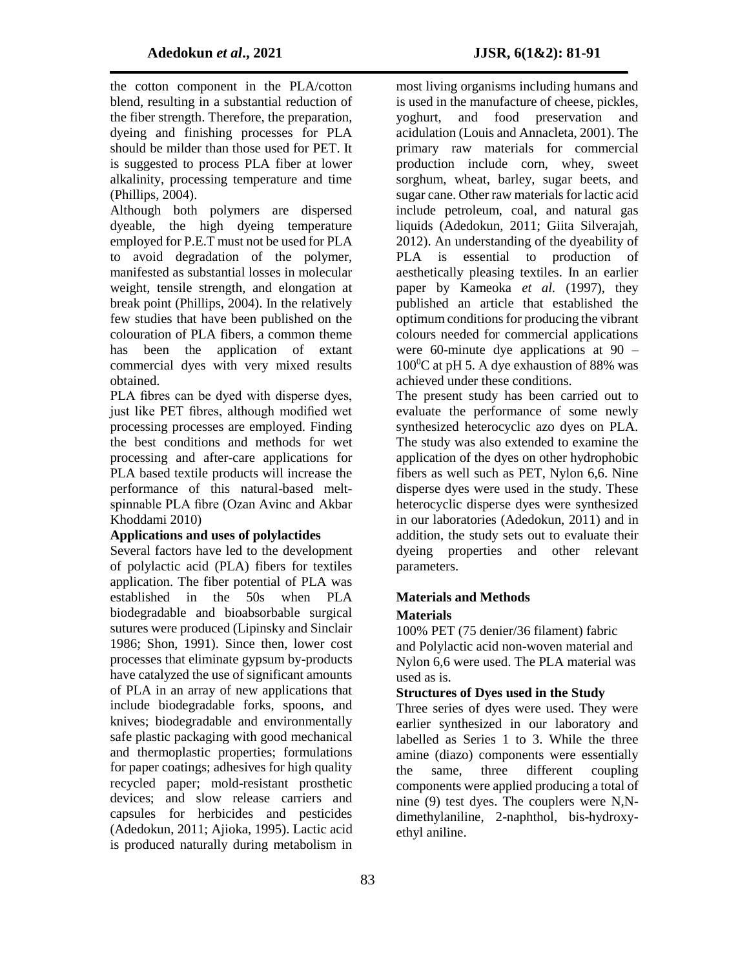the cotton component in the PLA/cotton blend, resulting in a substantial reduction of the fiber strength. Therefore, the preparation, dyeing and finishing processes for PLA should be milder than those used for PET. It is suggested to process PLA fiber at lower alkalinity, processing temperature and time (Phillips, 2004).

Although both polymers are dispersed dyeable, the high dyeing temperature employed for P.E.T must not be used for PLA to avoid degradation of the polymer, manifested as substantial losses in molecular weight, tensile strength, and elongation at break point (Phillips, 2004). In the relatively few studies that have been published on the colouration of PLA fibers, a common theme has been the application of extant commercial dyes with very mixed results obtained.

PLA fibres can be dyed with disperse dyes, just like PET fibres, although modified wet processing processes are employed. Finding the best conditions and methods for wet processing and after-care applications for PLA based textile products will increase the performance of this natural-based meltspinnable PLA fibre (Ozan Avinc and Akbar Khoddami 2010)

### **Applications and uses of polylactides**

Several factors have led to the development of polylactic acid (PLA) fibers for textiles application. The fiber potential of PLA was established in the 50s when PLA biodegradable and bioabsorbable surgical sutures were produced (Lipinsky and Sinclair 1986; Shon, 1991). Since then, lower cost processes that eliminate gypsum by-products have catalyzed the use of significant amounts of PLA in an array of new applications that include biodegradable forks, spoons, and knives; biodegradable and environmentally safe plastic packaging with good mechanical and thermoplastic properties; formulations for paper coatings; adhesives for high quality recycled paper; mold-resistant prosthetic devices; and slow release carriers and capsules for herbicides and pesticides (Adedokun, 2011; Ajioka, 1995). Lactic acid is produced naturally during metabolism in

most living organisms including humans and is used in the manufacture of cheese, pickles, yoghurt, and food preservation and acidulation (Louis and Annacleta, 2001). The primary raw materials for commercial production include corn, whey, sweet sorghum, wheat, barley, sugar beets, and sugar cane. Other raw materials for lactic acid include petroleum, coal, and natural gas liquids (Adedokun, 2011; Giita Silverajah, 2012). An understanding of the dyeability of PLA is essential to production of aesthetically pleasing textiles. In an earlier paper by Kameoka *et al.* (1997), they published an article that established the optimum conditions for producing the vibrant colours needed for commercial applications were 60-minute dye applications at 90 –  $100^{\circ}$ C at pH 5. A dye exhaustion of 88% was achieved under these conditions.

The present study has been carried out to evaluate the performance of some newly synthesized heterocyclic azo dyes on PLA. The study was also extended to examine the application of the dyes on other hydrophobic fibers as well such as PET, Nylon 6,6. Nine disperse dyes were used in the study. These heterocyclic disperse dyes were synthesized in our laboratories (Adedokun, 2011) and in addition, the study sets out to evaluate their dyeing properties and other relevant parameters.

### **Materials and Methods**

### **Materials**

100% PET (75 denier/36 filament) fabric and Polylactic acid non-woven material and Nylon 6,6 were used. The PLA material was used as is.

## **Structures of Dyes used in the Study**

Three series of dyes were used. They were earlier synthesized in our laboratory and labelled as Series 1 to 3. While the three amine (diazo) components were essentially the same, three different coupling components were applied producing a total of nine (9) test dyes. The couplers were N,Ndimethylaniline, 2-naphthol, bis-hydroxyethyl aniline.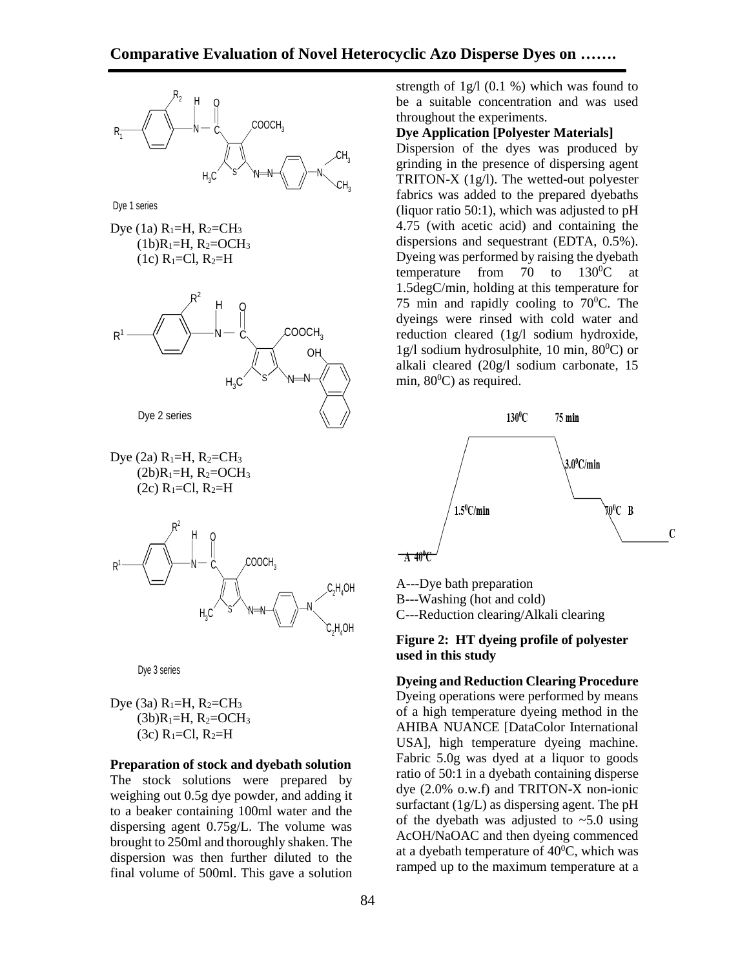

Dye (3a) 
$$
R_1 = H
$$
,  $R_2 = CH_3$ 

\n(3b)  $R_1 = H$ ,  $R_2 = OCH_3$ 

\n(3c)  $R_1 = Cl$ ,  $R_2 = H$ 

**Preparation of stock and dyebath solution**  The stock solutions were prepared by weighing out 0.5g dye powder, and adding it to a beaker containing 100ml water and the dispersing agent 0.75g/L. The volume was brought to 250ml and thoroughly shaken. The dispersion was then further diluted to the final volume of 500ml. This gave a solution

strength of  $1g/1$  (0.1 %) which was found to be a suitable concentration and was used throughout the experiments.

#### **Dye Application [Polyester Materials]**

Dispersion of the dyes was produced by grinding in the presence of dispersing agent TRITON-X  $(1g/l)$ . The wetted-out polyester fabrics was added to the prepared dyebaths (liquor ratio 50:1), which was adjusted to  $pH$ 4.75 (with acetic acid) and containing the dispersions and sequestrant (EDTA, 0.5%). Dyeing was performed by raising the dyebath temperature from 70 to  $130^{\circ}$ C at 1.5degC/min, holding at this temperature for 75 min and rapidly cooling to  $70^{\circ}$ C. The dyeings were rinsed with cold water and reduction cleared (1g/l sodium hydroxide, 1g/l sodium hydrosulphite, 10 min,  $80^{\circ}$ C) or alkali cleared (20g/l sodium carbonate, 15 min,  $80^{\circ}$ C) as required.



A---Dye bath preparation B---Washing (hot and cold) C---Reduction clearing/Alkali clearing

#### **Figure 2: HT dyeing profile of polyester used in this study**

**Dyeing and Reduction Clearing Procedure** Dyeing operations were performed by means of a high temperature dyeing method in the AHIBA NUANCE [DataColor International USA], high temperature dyeing machine. Fabric 5.0g was dyed at a liquor to goods ratio of 50:1 in a dyebath containing disperse dye (2.0% o.w.f) and TRITON-X non-ionic surfactant (1g/L) as dispersing agent. The pH of the dyebath was adjusted to  $\sim$  5.0 using AcOH/NaOAC and then dyeing commenced at a dyebath temperature of  $40^{\circ}$ C, which was ramped up to the maximum temperature at a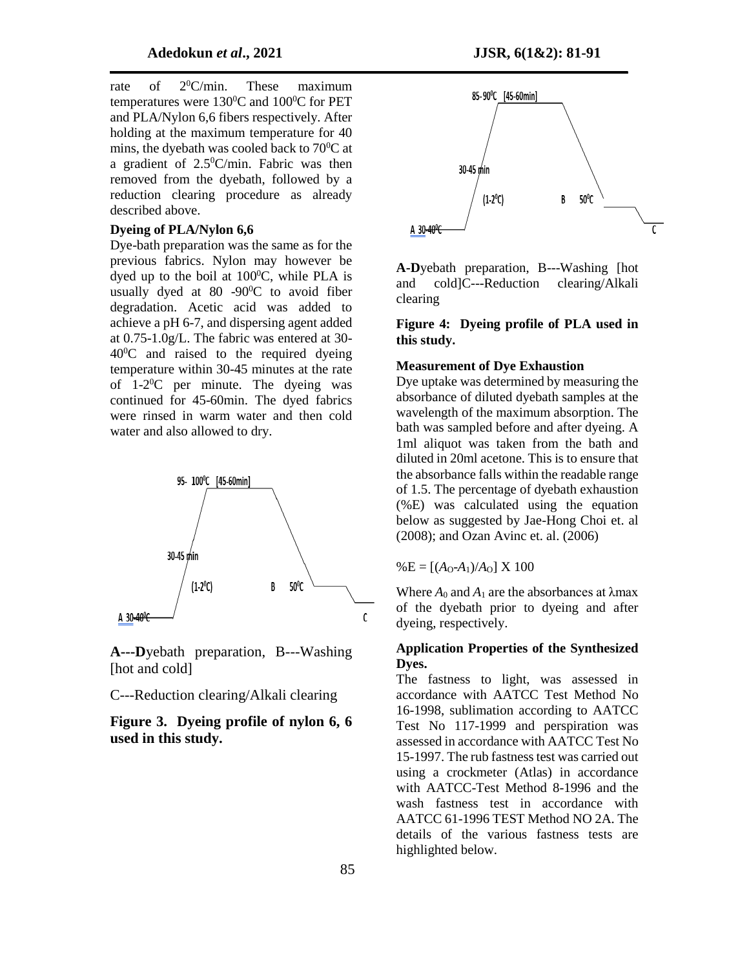rate of  $2^0$ C/min. These maximum temperatures were  $130^0C$  and  $100^0C$  for PET and PLA/Nylon 6,6 fibers respectively. After holding at the maximum temperature for 40 mins, the dyebath was cooled back to  $70^{\circ}$ C at a gradient of  $2.5^{\circ}$ C/min. Fabric was then removed from the dyebath, followed by a reduction clearing procedure as already described above.

#### **Dyeing of PLA/Nylon 6,6**

Dye-bath preparation was the same as for the previous fabrics. Nylon may however be dyed up to the boil at  $100^{\circ}$ C, while PLA is usually dyed at 80 -90 $\degree$ C to avoid fiber degradation. Acetic acid was added to achieve a pH 6-7, and dispersing agent added at 0.75-1.0g/L. The fabric was entered at 30-  $40^{\circ}$ C and raised to the required dyeing temperature within 30-45 minutes at the rate of 1-2 <sup>0</sup>C per minute. The dyeing was continued for 45-60min. The dyed fabrics were rinsed in warm water and then cold water and also allowed to dry.



**A---D**yebath preparation, B---Washing [hot and cold]

C---Reduction clearing/Alkali clearing

**Figure 3. Dyeing profile of nylon 6, 6 used in this study.**



**A-D**yebath preparation, B---Washing [hot and cold]C---Reduction clearing/Alkali clearing

#### **Figure 4: Dyeing profile of PLA used in this study.**

#### **Measurement of Dye Exhaustion**

Dye uptake was determined by measuring the absorbance of diluted dyebath samples at the wavelength of the maximum absorption. The bath was sampled before and after dyeing. A 1ml aliquot was taken from the bath and diluted in 20ml acetone. This is to ensure that the absorbance falls within the readable range of 1.5. The percentage of dyebath exhaustion (%E) was calculated using the equation below as suggested by Jae-Hong Choi et. al (2008); and Ozan Avinc et. al. (2006)

 $% E = [(A_0-A_1)/A_0] \times 100$ 

Where  $A_0$  and  $A_1$  are the absorbances at  $\lambda$ max of the dyebath prior to dyeing and after dyeing, respectively.

#### **Application Properties of the Synthesized Dyes.**

The fastness to light, was assessed in accordance with AATCC Test Method No 16-1998, sublimation according to AATCC Test No 117-1999 and perspiration was assessed in accordance with AATCC Test No 15-1997. The rub fastness test was carried out using a crockmeter (Atlas) in accordance with AATCC-Test Method 8-1996 and the wash fastness test in accordance with AATCC 61-1996 TEST Method NO 2A. The details of the various fastness tests are highlighted below.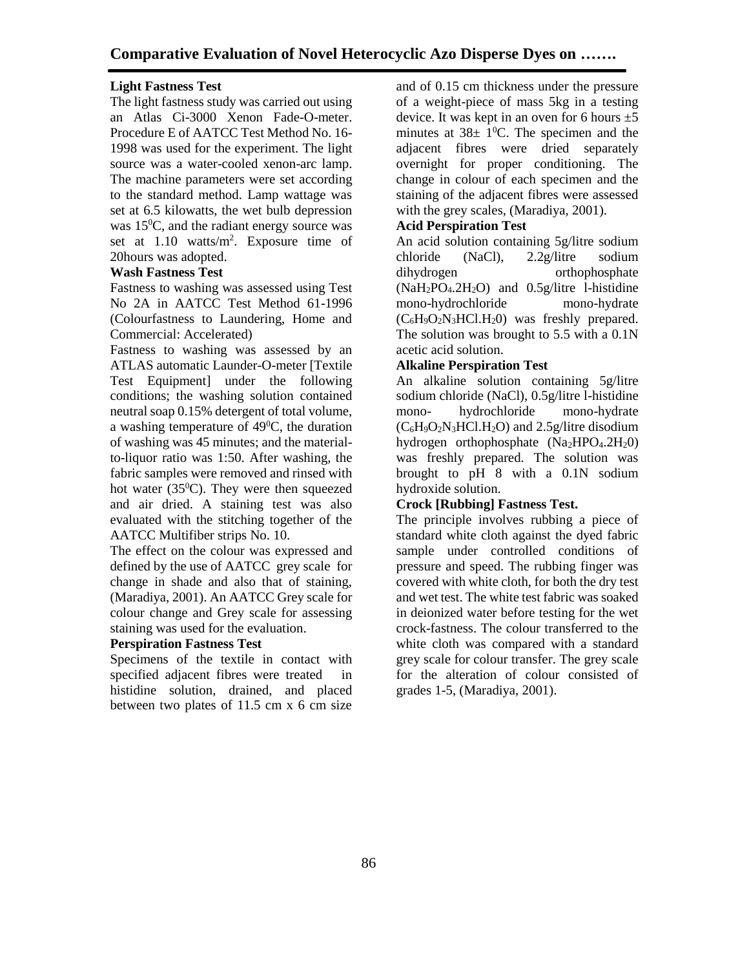# **Light Fastness Test**

The light fastness study was carried out using an Atlas Ci-3000 Xenon Fade-O-meter. Procedure E of AATCC Test Method No. 16- 1998 was used for the experiment. The light source was a water-cooled xenon-arc lamp. The machine parameters were set according to the standard method. Lamp wattage was set at 6.5 kilowatts, the wet bulb depression was  $15^{\circ}$ C, and the radiant energy source was set at 1.10 watts/m<sup>2</sup>. Exposure time of 20hours was adopted.

### **Wash Fastness Test**

Fastness to washing was assessed using Test No 2A in AATCC Test Method 61-1996 (Colourfastness to Laundering, Home and Commercial: Accelerated)

Fastness to washing was assessed by an ATLAS automatic Launder-O-meter [Textile Test Equipment] under the following conditions; the washing solution contained neutral soap 0.15% detergent of total volume, a washing temperature of  $49^{\circ}$ C, the duration of washing was 45 minutes; and the materialto-liquor ratio was 1:50. After washing, the fabric samples were removed and rinsed with hot water  $(35^{\circ}C)$ . They were then squeezed and air dried. A staining test was also evaluated with the stitching together of the AATCC Multifiber strips No. 10.

The effect on the colour was expressed and defined by the use of AATCC grey scale for change in shade and also that of staining, (Maradiya, 2001). An AATCC Grey scale for colour change and Grey scale for assessing staining was used for the evaluation.

#### **Perspiration Fastness Test**

Specimens of the textile in contact with specified adjacent fibres were treated in histidine solution, drained, and placed between two plates of 11.5 cm x 6 cm size and of 0.15 cm thickness under the pressure of a weight-piece of mass 5kg in a testing device. It was kept in an oven for 6 hours  $\pm 5$ minutes at  $38\pm 1^0C$ . The specimen and the adjacent fibres were dried separately overnight for proper conditioning. The change in colour of each specimen and the staining of the adjacent fibres were assessed with the grey scales, (Maradiya, 2001).

# **Acid Perspiration Test**

An acid solution containing 5g/litre sodium chloride (NaCl), 2.2g/litre sodium dihydrogen orthophosphate  $(NaH<sub>2</sub>PO<sub>4</sub>.2H<sub>2</sub>O)$  and  $0.5g/litre$  1-histidine mono-hydrochloride mono-hydrate  $(C_6H_9O_2N_3HCl.H_2O)$  was freshly prepared. The solution was brought to 5.5 with a 0.1N acetic acid solution.

### **Alkaline Perspiration Test**

An alkaline solution containing 5g/litre sodium chloride (NaCl), 0.5g/litre l-histidine mono- hydrochloride mono-hydrate  $(C_6H_9O_2N_3HCl.H_2O)$  and 2.5g/litre disodium hydrogen orthophosphate  $(Na_2HPO_4.2H_2O)$ was freshly prepared. The solution was brought to pH 8 with a 0.1N sodium hydroxide solution.

### **Crock [Rubbing] Fastness Test.**

The principle involves rubbing a piece of standard white cloth against the dyed fabric sample under controlled conditions of pressure and speed. The rubbing finger was covered with white cloth, for both the dry test and wet test. The white test fabric was soaked in deionized water before testing for the wet crock-fastness. The colour transferred to the white cloth was compared with a standard grey scale for colour transfer. The grey scale for the alteration of colour consisted of grades 1-5, (Maradiya, 2001).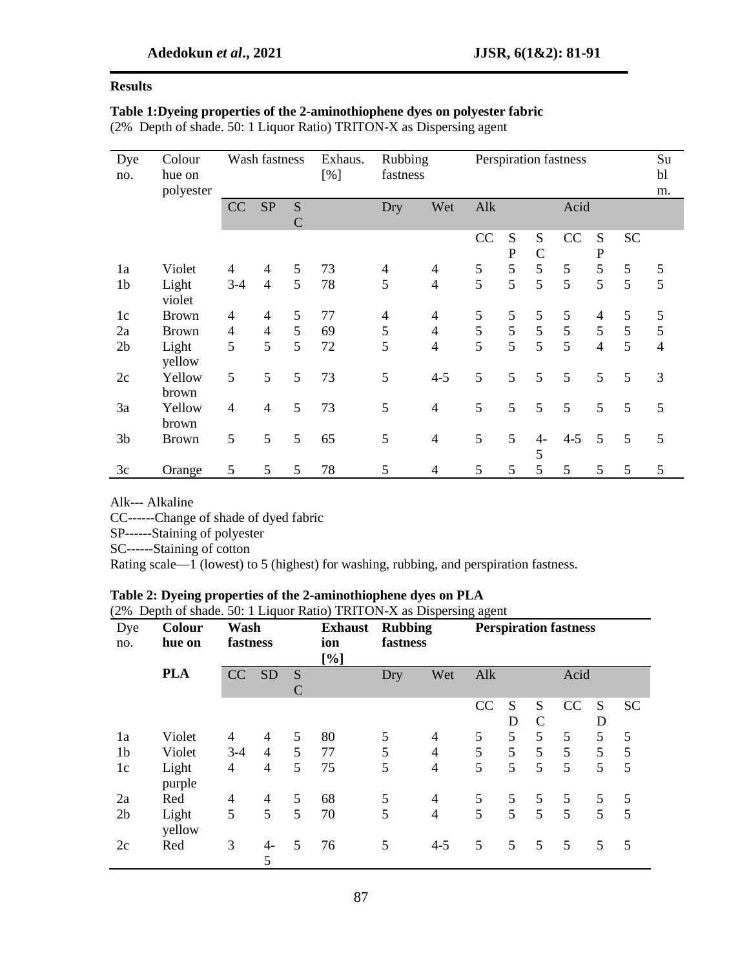# **Results**

# **Table 1:Dyeing properties of the 2-aminothiophene dyes on polyester fabric**

(2% Depth of shade. 50: 1 Liquor Ratio) TRITON-X as Dispersing agent

| Dye<br>no.     | Colour<br>hue on<br>polyester |                | Wash fastness            |                    | Exhaus.<br>[%] |                | Rubbing<br>fastness      |               | Perspiration fastness |                    |               |                          |                |                |  |
|----------------|-------------------------------|----------------|--------------------------|--------------------|----------------|----------------|--------------------------|---------------|-----------------------|--------------------|---------------|--------------------------|----------------|----------------|--|
|                |                               | CC             | <b>SP</b>                | S<br>$\mathcal{C}$ |                | Dry            | Wet                      | Alk           |                       |                    | Acid          |                          |                |                |  |
|                |                               |                |                          |                    |                |                |                          | CC            | S<br>${\bf P}$        | S<br>$\mathcal{C}$ | CC            | ${\bf S}$<br>$\mathbf P$ | <b>SC</b>      |                |  |
| 1a             | Violet                        | 4              | 4                        | 5                  | 73             | $\overline{4}$ | $\overline{\mathcal{A}}$ |               | 5                     | 5                  | $\mathfrak s$ | 5                        | $\mathfrak{S}$ |                |  |
| 1 <sub>b</sub> | Light<br>violet               | $3-4$          | $\overline{4}$           | 5                  | 78             | 5              | $\overline{4}$           | $\frac{5}{5}$ | 5                     | $\overline{5}$     | 5             | 5                        | 5              | $\frac{5}{5}$  |  |
| 1c             | <b>Brown</b>                  | $\overline{4}$ | $\overline{4}$           | 5                  | 77             | $\overline{4}$ | $\overline{4}$           | 5             | 5                     | 5                  | 5             | $\overline{4}$           | 5              | $\mathfrak s$  |  |
| 2a             | <b>Brown</b>                  | 4              | $\overline{\mathcal{A}}$ | 5                  | 69             | 5              | $\overline{4}$           | 5             | 5                     | 5                  | $\mathfrak s$ | 5                        | $\mathfrak{S}$ | 5              |  |
| 2 <sub>b</sub> | Light<br>yellow               | 5              | 5                        | 5                  | 72             | 5              | $\overline{4}$           | 5             | $\overline{5}$        | $\overline{5}$     | 5             | $\overline{4}$           | 5              | $\overline{4}$ |  |
| 2c             | Yellow<br>brown               | 5              | 5                        | 5                  | 73             | 5              | $4 - 5$                  | 5             | 5                     | 5                  | 5             | 5                        | 5              | 3              |  |
| 3a             | Yellow<br>brown               | $\overline{4}$ | $\overline{4}$           | 5                  | 73             | 5              | $\overline{4}$           | 5             | 5                     | 5                  | 5             | 5                        | 5              | 5              |  |
| 3 <sub>b</sub> | <b>Brown</b>                  | 5              | 5                        | 5                  | 65             | 5              | $\overline{4}$           | 5             | 5                     | $4-$<br>5          | $4 - 5$       | 5                        | 5              | 5              |  |
| 3c             | Orange                        | 5              | 5                        | 5                  | 78             | 5              | 4                        | 5             | 5                     | 5                  | 5             | 5                        | 5              | 5              |  |

Alk--- Alkaline

CC------Change of shade of dyed fabric

SP------Staining of polyester

SC------Staining of cotton

Rating scale—1 (lowest) to 5 (highest) for washing, rubbing, and perspiration fastness.

# **Table 2: Dyeing properties of the 2-aminothiophene dyes on PLA**

| (2% Depth of shade. 50: 1 Liquor Ratio) TRITON-X as Dispersing agent |  |  |  |  |  |  |
|----------------------------------------------------------------------|--|--|--|--|--|--|
|----------------------------------------------------------------------|--|--|--|--|--|--|

| Dye<br>no.     | Colour<br>hue on | Wash<br>fastness |                          |                 | <b>Rubbing</b><br><b>Exhaust</b><br>fastness<br>ion<br>[%] |     |                | <b>Perspiration fastness</b> |        |                    |      |        |           |  |
|----------------|------------------|------------------|--------------------------|-----------------|------------------------------------------------------------|-----|----------------|------------------------------|--------|--------------------|------|--------|-----------|--|
|                | <b>PLA</b>       | CC               | <b>SD</b>                | S<br>C          |                                                            | Dry | Wet            | Alk                          |        |                    | Acid |        |           |  |
|                |                  |                  |                          |                 |                                                            |     |                | CC                           | S<br>D | S<br>$\mathcal{C}$ | CC   | S<br>D | <b>SC</b> |  |
| 1a             | Violet           | $\overline{4}$   | $\overline{4}$           | 5               | 80                                                         | 5   | 4              | 5                            | 5      | 5                  | 5    | 5      | 5         |  |
| 1 <sub>b</sub> | Violet           | $3 - 4$          | $\overline{4}$           | 5               | 77                                                         | 5   | $\overline{4}$ | 5                            | 5      | 5                  | 5    | 5      | 5         |  |
| 1c             | Light<br>purple  | 4                | $\overline{4}$           | 5               | 75                                                         | 5   | $\overline{4}$ | 5                            | 5      | 5                  | 5    | 5      | 5         |  |
| 2a             | Red              | 4                | $\overline{\mathcal{A}}$ | 5               | 68                                                         | 5   | $\overline{4}$ | 5                            | 5      | 5                  | 5    | 5      | 5         |  |
| 2 <sub>b</sub> | Light<br>yellow  | 5                | 5                        | $5\overline{)}$ | 70                                                         | 5   | $\overline{4}$ | 5                            | 5      | 5                  | 5    | 5      | 5         |  |
| 2c             | Red              | 3                | $4-$<br>5                | 5               | 76                                                         | 5   | $4 - 5$        | 5                            | 5      | 5                  | 5    | 5      | 5         |  |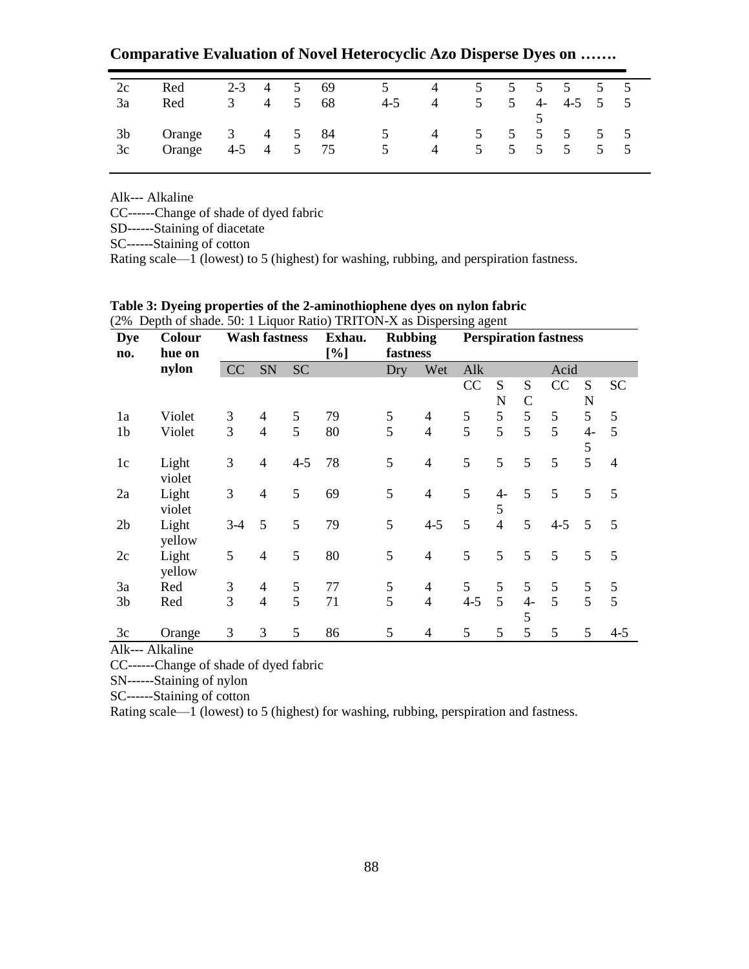**Comparative Evaluation of Novel Heterocyclic Azo Disperse Dyes on …….**

| 2c             | Red    | $2-3$ 4  |                | 5               | 69   | $\mathcal{D}$  | $\sim$ 4       | 5 5 5 5 5 5 5 |   |      |         |            |                 |
|----------------|--------|----------|----------------|-----------------|------|----------------|----------------|---------------|---|------|---------|------------|-----------------|
| 3a             | Red    |          | $\overline{4}$ | $5\overline{)}$ | - 68 | $4 - 5$        | 4              | 5             | 5 | $4-$ | $4-5$   |            | $5\,$           |
| 3 <sub>b</sub> | Orange | 3 4 5 84 |                |                 |      | $\overline{5}$ | 4 5 5 5 5      |               |   |      |         | $5\quad 5$ |                 |
| 3c             | Orange | $4-5$ 4  |                | $5\overline{)}$ | 75   | 5 <sup>5</sup> | $\overline{4}$ |               |   |      | 5 5 5 5 | 5          | $5\overline{)}$ |

Alk--- Alkaline

CC------Change of shade of dyed fabric

SD------Staining of diacetate

SC------Staining of cotton

Rating scale—1 (lowest) to 5 (highest) for washing, rubbing, and perspiration fastness.

| <b>Dye</b><br>no. | Colour<br>hue on | <b>Wash fastness</b> |                |           | <b>Rubbing</b><br>Exhau.<br>[%]<br>fastness |     |                | <b>Perspiration fastness</b> |                |               |         |      |                |
|-------------------|------------------|----------------------|----------------|-----------|---------------------------------------------|-----|----------------|------------------------------|----------------|---------------|---------|------|----------------|
|                   | nylon            | CC                   | SN             | <b>SC</b> |                                             | Dry | Wet            | Alk                          |                |               | Acid    |      |                |
|                   |                  |                      |                |           |                                             |     |                | CC                           | S              | S             | CC      | S    | <b>SC</b>      |
|                   |                  |                      |                |           |                                             |     |                |                              | N              | $\mathcal{C}$ |         | N    |                |
| 1a                | Violet           | 3                    | 4              | 5         | 79                                          | 5   | $\overline{4}$ | 5                            | 5              | 5             | 5       | 5    | 5              |
| 1 <sub>b</sub>    | Violet           | 3                    | $\overline{4}$ | 5         | 80                                          | 5   | $\overline{4}$ | 5                            | 5              | 5             | 5       | $4-$ | 5              |
|                   |                  |                      |                |           |                                             |     |                |                              |                |               |         | 5    |                |
| 1c                | Light            | 3                    | $\overline{4}$ | $4 - 5$   | 78                                          | 5   | $\overline{4}$ | 5                            | 5              | 5             | 5       | 5    | $\overline{4}$ |
|                   | violet           |                      |                |           |                                             |     |                |                              |                |               |         |      |                |
| 2a                | Light            | 3                    | $\overline{4}$ | 5         | 69                                          | 5   | $\overline{4}$ | 5                            | $4-$           | 5             | 5       | 5    | 5              |
|                   | violet           |                      |                |           |                                             |     |                |                              | 5              |               |         |      |                |
| 2 <sub>b</sub>    | Light            | $3-4$                | 5              | 5         | 79                                          | 5   | $4 - 5$        | 5                            | $\overline{4}$ | 5             | $4 - 5$ | 5    | 5              |
|                   | yellow           |                      |                |           |                                             |     |                |                              |                |               |         |      |                |
| 2c                | Light            | 5                    | $\overline{4}$ | 5         | 80                                          | 5   | $\overline{4}$ | 5                            | 5              | 5             | 5       | 5    | 5              |
|                   | yellow           |                      |                |           |                                             |     |                |                              |                |               |         |      |                |
| 3a                | Red              | 3                    | $\overline{4}$ | 5         | 77                                          | 5   | $\overline{4}$ | 5                            | 5              | 5             | 5       | 5    | 5              |
| 3 <sub>b</sub>    | Red              | 3                    | $\overline{4}$ | 5         | 71                                          | 5   | $\overline{4}$ | $4 - 5$                      | 5              | $4-$          | 5       | 5    | 5              |
|                   |                  |                      |                |           |                                             |     |                |                              |                | 5             |         |      |                |
| 3c                | Orange           | 3                    | 3              | 5         | 86                                          | 5   | 4              | 5                            | 5              | 5             | 5       | 5    | $4 - 5$        |

### **Table 3: Dyeing properties of the 2-aminothiophene dyes on nylon fabric** (2% Depth of shade. 50: 1 Liquor Ratio) TRITON-X as Dispersing agent

Alk--- Alkaline

CC------Change of shade of dyed fabric

SN------Staining of nylon

SC------Staining of cotton

Rating scale—1 (lowest) to 5 (highest) for washing, rubbing, perspiration and fastness.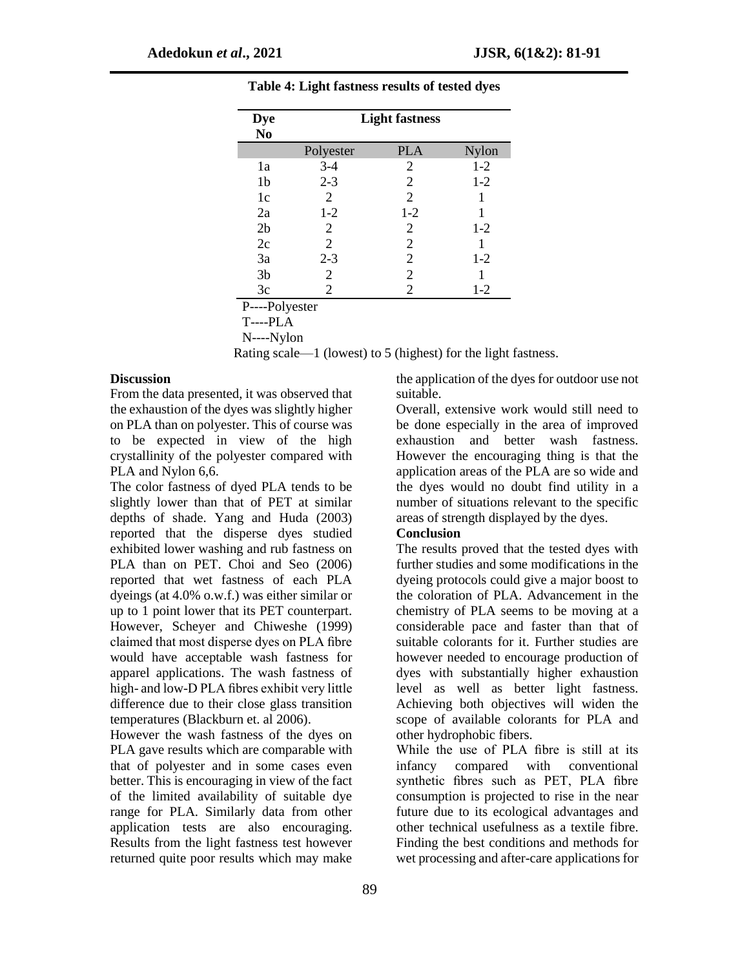| <b>Dye</b><br>N <sub>0</sub> | <b>Light fastness</b> |            |       |  |  |  |  |  |  |  |  |
|------------------------------|-----------------------|------------|-------|--|--|--|--|--|--|--|--|
|                              | Polyester             | <b>PLA</b> | Nylon |  |  |  |  |  |  |  |  |
| 1a                           | $3-4$                 | 2          | $1-2$ |  |  |  |  |  |  |  |  |
| 1b                           | $2 - 3$               | 2          | $1-2$ |  |  |  |  |  |  |  |  |
| 1c                           | 2                     | 2          | 1     |  |  |  |  |  |  |  |  |
| 2a                           | $1 - 2$               | $1-2$      |       |  |  |  |  |  |  |  |  |
| 2 <sub>b</sub>               | 2                     | 2          | $1-2$ |  |  |  |  |  |  |  |  |
| 2c                           | 2                     | 2          |       |  |  |  |  |  |  |  |  |
| 3a                           | $2 - 3$               | 2          | $1-2$ |  |  |  |  |  |  |  |  |
| 3 <sub>b</sub>               | 2                     | 2          |       |  |  |  |  |  |  |  |  |
| 3c                           | 2                     | 2          | $1-2$ |  |  |  |  |  |  |  |  |

**Table 4: Light fastness results of tested dyes**

P----Polyester

T----PLA

N----Nylon

Rating scale—1 (lowest) to 5 (highest) for the light fastness.

#### **Discussion**

From the data presented, it was observed that the exhaustion of the dyes was slightly higher on PLA than on polyester. This of course was to be expected in view of the high crystallinity of the polyester compared with PLA and Nylon 6,6.

The color fastness of dyed PLA tends to be slightly lower than that of PET at similar depths of shade. Yang and Huda (2003) reported that the disperse dyes studied exhibited lower washing and rub fastness on PLA than on PET. Choi and Seo (2006) reported that wet fastness of each PLA dyeings (at 4.0% o.w.f.) was either similar or up to 1 point lower that its PET counterpart. However, Scheyer and Chiweshe (1999) claimed that most disperse dyes on PLA fibre would have acceptable wash fastness for apparel applications. The wash fastness of high- and low-D PLA fibres exhibit very little difference due to their close glass transition temperatures (Blackburn et. al 2006).

However the wash fastness of the dyes on PLA gave results which are comparable with that of polyester and in some cases even better. This is encouraging in view of the fact of the limited availability of suitable dye range for PLA. Similarly data from other application tests are also encouraging. Results from the light fastness test however returned quite poor results which may make

the application of the dyes for outdoor use not suitable.

Overall, extensive work would still need to be done especially in the area of improved exhaustion and better wash fastness. However the encouraging thing is that the application areas of the PLA are so wide and the dyes would no doubt find utility in a number of situations relevant to the specific areas of strength displayed by the dyes.

#### **Conclusion**

The results proved that the tested dyes with further studies and some modifications in the dyeing protocols could give a major boost to the coloration of PLA. Advancement in the chemistry of PLA seems to be moving at a considerable pace and faster than that of suitable colorants for it. Further studies are however needed to encourage production of dyes with substantially higher exhaustion level as well as better light fastness. Achieving both objectives will widen the scope of available colorants for PLA and other hydrophobic fibers.

While the use of PLA fibre is still at its infancy compared with conventional synthetic fibres such as PET, PLA fibre consumption is projected to rise in the near future due to its ecological advantages and other technical usefulness as a textile fibre. Finding the best conditions and methods for wet processing and after-care applications for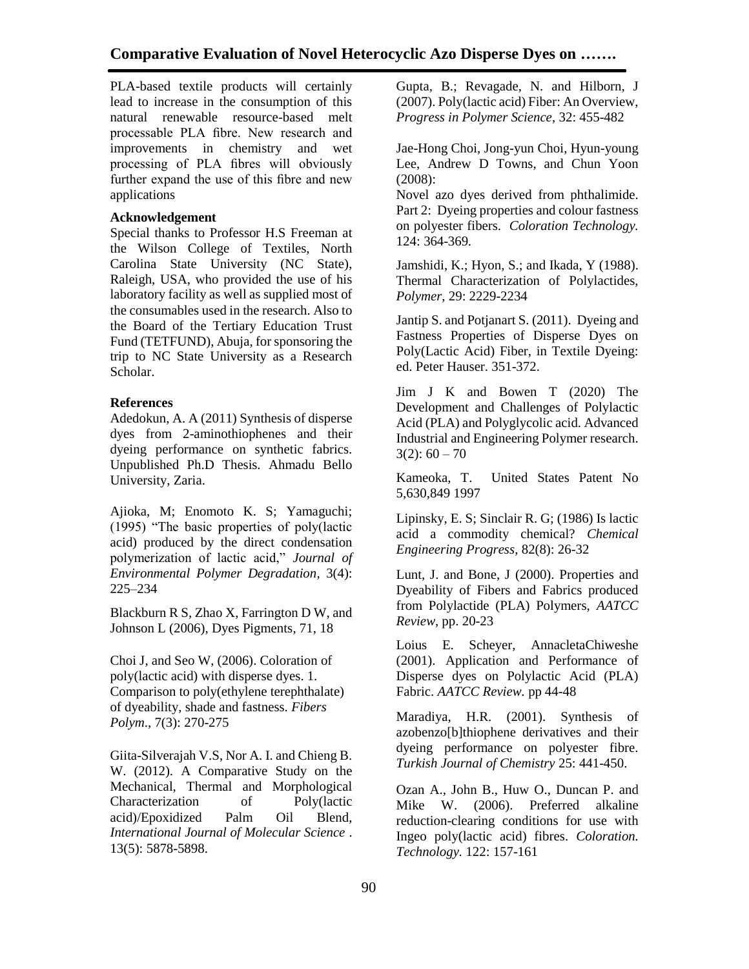PLA-based textile products will certainly lead to increase in the consumption of this natural renewable resource-based melt processable PLA fibre. New research and improvements in chemistry and wet processing of PLA fibres will obviously further expand the use of this fibre and new applications

### **Acknowledgement**

Special thanks to Professor H.S Freeman at the Wilson College of Textiles, North Carolina State University (NC State), Raleigh, USA, who provided the use of his laboratory facility as well as supplied most of the consumables used in the research. Also to the Board of the Tertiary Education Trust Fund (TETFUND), Abuja, for sponsoring the trip to NC State University as a Research Scholar.

# **References**

Adedokun, A. A (2011) Synthesis of disperse dyes from 2-aminothiophenes and their dyeing performance on synthetic fabrics. Unpublished Ph.D Thesis. Ahmadu Bello University, Zaria.

Ajioka, M; Enomoto K. S; Yamaguchi; (1995) "The basic properties of poly(lactic acid) produced by the direct condensation polymerization of lactic acid," *Journal of Environmental Polymer Degradation*, 3(4): 225–234

Blackburn R S, Zhao X, Farrington D W, and Johnson L (2006), Dyes Pigments, 71, 18

Choi J, and Seo W, (2006). Coloration of poly(lactic acid) with disperse dyes. 1. Comparison to poly(ethylene terephthalate) of dyeability, shade and fastness. *Fibers Polym*., 7(3): 270-275

Giita-Silverajah V.S, Nor A. I. and Chieng B. W. (2012). A Comparative Study on the Mechanical, Thermal and Morphological Characterization of Poly(lactic acid)/Epoxidized Palm Oil Blend, *International Journal of Molecular Science* . 13(5): 5878-5898.

Gupta, B.; Revagade, N. and Hilborn, J (2007). Poly(lactic acid) Fiber: An Overview, *Progress in Polymer Science*, 32: 455-482

Jae-Hong Choi, Jong-yun Choi, Hyun-young Lee, Andrew D Towns, and Chun Yoon (2008):

Novel azo dyes derived from phthalimide. Part 2: Dyeing properties and colour fastness on polyester fibers. *Coloration Technology.*  124: 364-369*.*

Jamshidi, K.; Hyon, S.; and Ikada, Y (1988). Thermal Characterization of Polylactides, *Polymer*, 29: 2229-2234

Jantip S. and Potjanart S. (2011). Dyeing and Fastness Properties of Disperse Dyes on Poly(Lactic Acid) Fiber, in Textile Dyeing: ed. Peter Hauser. 351-372.

Jim J K and Bowen T (2020) The Development and Challenges of Polylactic Acid (PLA) and Polyglycolic acid. Advanced Industrial and Engineering Polymer research.  $3(2): 60 - 70$ 

Kameoka, T. United States Patent No 5,630,849 1997

Lipinsky, E. S; Sinclair R. G; (1986) Is lactic acid a commodity chemical? *Chemical Engineering Progress*, 82(8): 26-32

Lunt, J. and Bone, J (2000). Properties and Dyeability of Fibers and Fabrics produced from Polylactide (PLA) Polymers, *AATCC Review*, pp. 20-23

Loius E. Scheyer, AnnacletaChiweshe (2001). Application and Performance of Disperse dyes on Polylactic Acid (PLA) Fabric. *AATCC Review.* pp 44-48

Maradiya, H.R. (2001). Synthesis of azobenzo[b]thiophene derivatives and their dyeing performance on polyester fibre. *Turkish Journal of Chemistry* 25: 441-450.

Ozan A., John B., Huw O., Duncan P. and Mike W. (2006). Preferred alkaline reduction-clearing conditions for use with Ingeo poly(lactic acid) fibres. *Coloration. Technology.* 122: 157-161